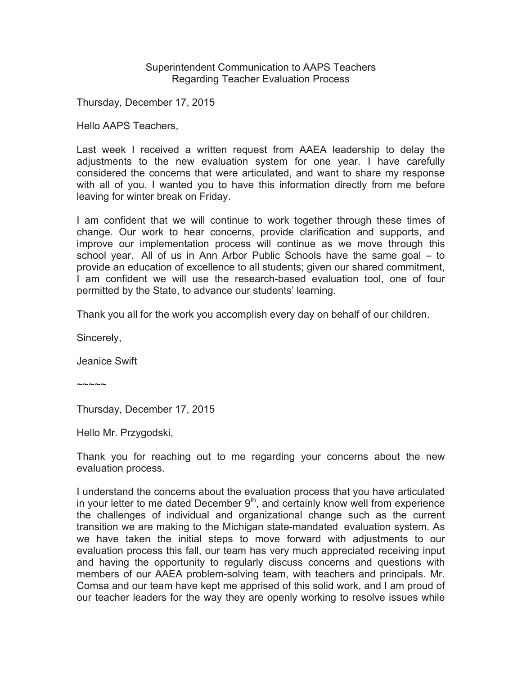Superintendent Communication to AAPS Teachers Regarding Teacher Evaluation Process

Thursday, December 17, 2015

Hello AAPS Teachers,

Last week I received a written request from AAEA leadership to delay the adjustments to the new evaluation system for one year. I have carefully considered the concerns that were articulated, and want to share my response with all of you. I wanted you to have this information directly from me before leaving for winter break on Friday.

I am confident that we will continue to work together through these times of change. Our work to hear concerns, provide clarification and supports, and improve our implementation process will continue as we move through this school year. All of us in Ann Arbor Public Schools have the same goal – to provide an education of excellence to all students; given our shared commitment, I am confident we will use the research-based evaluation tool, one of four permitted by the State, to advance our students' learning.

Thank you all for the work you accomplish every day on behalf of our children.

Sincerely,

Jeanice Swift

~~~~~

Thursday, December 17, 2015

Hello Mr. Przygodski,

Thank you for reaching out to me regarding your concerns about the new evaluation process.

I understand the concerns about the evaluation process that you have articulated in your letter to me dated December  $9<sup>th</sup>$ , and certainly know well from experience the challenges of individual and organizational change such as the current transition we are making to the Michigan state-mandated evaluation system. As we have taken the initial steps to move forward with adjustments to our evaluation process this fall, our team has very much appreciated receiving input and having the opportunity to regularly discuss concerns and questions with members of our AAEA problem-solving team, with teachers and principals. Mr. Comsa and our team have kept me apprised of this solid work, and I am proud of our teacher leaders for the way they are openly working to resolve issues while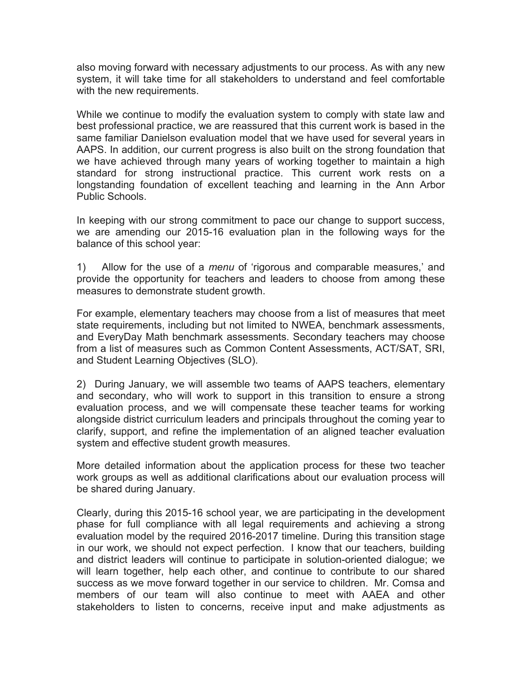also moving forward with necessary adjustments to our process. As with any new system, it will take time for all stakeholders to understand and feel comfortable with the new requirements.

While we continue to modify the evaluation system to comply with state law and best professional practice, we are reassured that this current work is based in the same familiar Danielson evaluation model that we have used for several years in AAPS. In addition, our current progress is also built on the strong foundation that we have achieved through many years of working together to maintain a high standard for strong instructional practice. This current work rests on a longstanding foundation of excellent teaching and learning in the Ann Arbor Public Schools.

In keeping with our strong commitment to pace our change to support success, we are amending our 2015-16 evaluation plan in the following ways for the balance of this school year:

1) Allow for the use of a *menu* of 'rigorous and comparable measures,' and provide the opportunity for teachers and leaders to choose from among these measures to demonstrate student growth.

For example, elementary teachers may choose from a list of measures that meet state requirements, including but not limited to NWEA, benchmark assessments, and EveryDay Math benchmark assessments. Secondary teachers may choose from a list of measures such as Common Content Assessments, ACT/SAT, SRI, and Student Learning Objectives (SLO).

2) During January, we will assemble two teams of AAPS teachers, elementary and secondary, who will work to support in this transition to ensure a strong evaluation process, and we will compensate these teacher teams for working alongside district curriculum leaders and principals throughout the coming year to clarify, support, and refine the implementation of an aligned teacher evaluation system and effective student growth measures.

More detailed information about the application process for these two teacher work groups as well as additional clarifications about our evaluation process will be shared during January.

Clearly, during this 2015-16 school year, we are participating in the development phase for full compliance with all legal requirements and achieving a strong evaluation model by the required 2016-2017 timeline. During this transition stage in our work, we should not expect perfection. I know that our teachers, building and district leaders will continue to participate in solution-oriented dialogue; we will learn together, help each other, and continue to contribute to our shared success as we move forward together in our service to children. Mr. Comsa and members of our team will also continue to meet with AAEA and other stakeholders to listen to concerns, receive input and make adjustments as